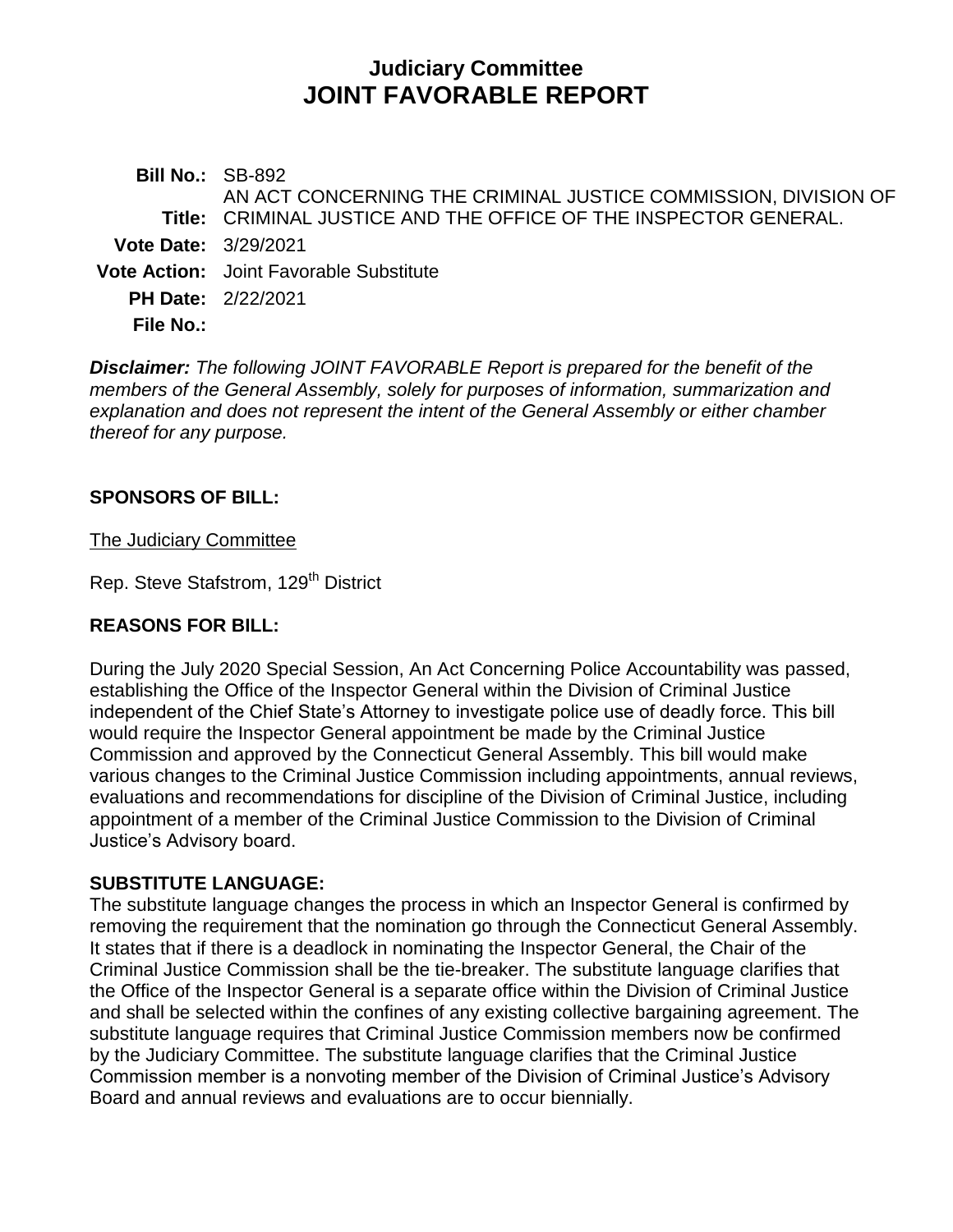# **Judiciary Committee JOINT FAVORABLE REPORT**

**Bill No.:** SB-892 **Title:** CRIMINAL JUSTICE AND THE OFFICE OF THE INSPECTOR GENERAL. AN ACT CONCERNING THE CRIMINAL JUSTICE COMMISSION, DIVISION OF **Vote Date:** 3/29/2021 **Vote Action:** Joint Favorable Substitute **PH Date:** 2/22/2021 **File No.:**

*Disclaimer: The following JOINT FAVORABLE Report is prepared for the benefit of the members of the General Assembly, solely for purposes of information, summarization and explanation and does not represent the intent of the General Assembly or either chamber thereof for any purpose.*

#### **SPONSORS OF BILL:**

The Judiciary Committee

Rep. Steve Stafstrom, 129<sup>th</sup> District

#### **REASONS FOR BILL:**

During the July 2020 Special Session, An Act Concerning Police Accountability was passed, establishing the Office of the Inspector General within the Division of Criminal Justice independent of the Chief State's Attorney to investigate police use of deadly force. This bill would require the Inspector General appointment be made by the Criminal Justice Commission and approved by the Connecticut General Assembly. This bill would make various changes to the Criminal Justice Commission including appointments, annual reviews, evaluations and recommendations for discipline of the Division of Criminal Justice, including appointment of a member of the Criminal Justice Commission to the Division of Criminal Justice's Advisory board.

### **SUBSTITUTE LANGUAGE:**

The substitute language changes the process in which an Inspector General is confirmed by removing the requirement that the nomination go through the Connecticut General Assembly. It states that if there is a deadlock in nominating the Inspector General, the Chair of the Criminal Justice Commission shall be the tie-breaker. The substitute language clarifies that the Office of the Inspector General is a separate office within the Division of Criminal Justice and shall be selected within the confines of any existing collective bargaining agreement. The substitute language requires that Criminal Justice Commission members now be confirmed by the Judiciary Committee. The substitute language clarifies that the Criminal Justice Commission member is a nonvoting member of the Division of Criminal Justice's Advisory Board and annual reviews and evaluations are to occur biennially.